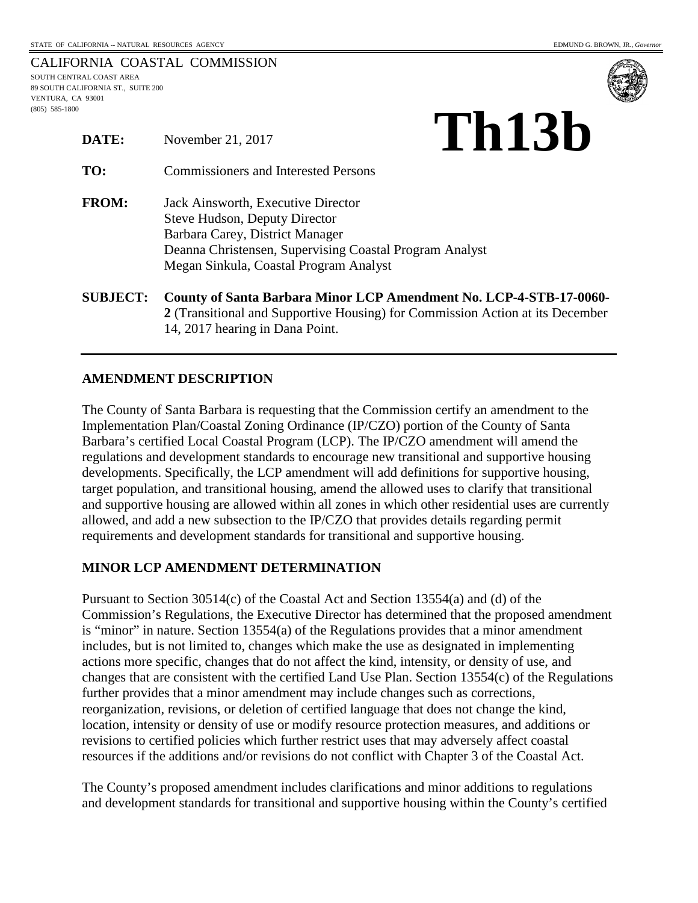|                                    | CALIFORNIA COASTAL COMMISSION |
|------------------------------------|-------------------------------|
| SOUTH CENTRAL COAST AREA           |                               |
| 89 SOUTH CALIFORNIA ST., SUITE 200 |                               |
| VENTURA. CA 93001                  |                               |
| $(805)$ 585-1800                   |                               |



| DATE:           | November 21, 2017                                                                                                                                                                                                  | Th13b |  |
|-----------------|--------------------------------------------------------------------------------------------------------------------------------------------------------------------------------------------------------------------|-------|--|
| TO:             | <b>Commissioners and Interested Persons</b>                                                                                                                                                                        |       |  |
| <b>FROM:</b>    | Jack Ainsworth, Executive Director<br><b>Steve Hudson, Deputy Director</b><br>Barbara Carey, District Manager<br>Deanna Christensen, Supervising Coastal Program Analyst<br>Megan Sinkula, Coastal Program Analyst |       |  |
| <b>SUBJECT:</b> | County of Santa Barbara Minor LCP Amendment No. LCP-4-STB-17-0060-                                                                                                                                                 |       |  |

**2** (Transitional and Supportive Housing) for Commission Action at its December 14, 2017 hearing in Dana Point.

# **AMENDMENT DESCRIPTION**

The County of Santa Barbara is requesting that the Commission certify an amendment to the Implementation Plan/Coastal Zoning Ordinance (IP/CZO) portion of the County of Santa Barbara's certified Local Coastal Program (LCP). The IP/CZO amendment will amend the regulations and development standards to encourage new transitional and supportive housing developments. Specifically, the LCP amendment will add definitions for supportive housing, target population, and transitional housing, amend the allowed uses to clarify that transitional and supportive housing are allowed within all zones in which other residential uses are currently allowed, and add a new subsection to the IP/CZO that provides details regarding permit requirements and development standards for transitional and supportive housing.

# **MINOR LCP AMENDMENT DETERMINATION**

Pursuant to Section 30514(c) of the Coastal Act and Section 13554(a) and (d) of the Commission's Regulations, the Executive Director has determined that the proposed amendment is "minor" in nature. Section 13554(a) of the Regulations provides that a minor amendment includes, but is not limited to, changes which make the use as designated in implementing actions more specific, changes that do not affect the kind, intensity, or density of use, and changes that are consistent with the certified Land Use Plan. Section 13554(c) of the Regulations further provides that a minor amendment may include changes such as corrections, reorganization, revisions, or deletion of certified language that does not change the kind, location, intensity or density of use or modify resource protection measures, and additions or revisions to certified policies which further restrict uses that may adversely affect coastal resources if the additions and/or revisions do not conflict with Chapter 3 of the Coastal Act.

The County's proposed amendment includes clarifications and minor additions to regulations and development standards for transitional and supportive housing within the County's certified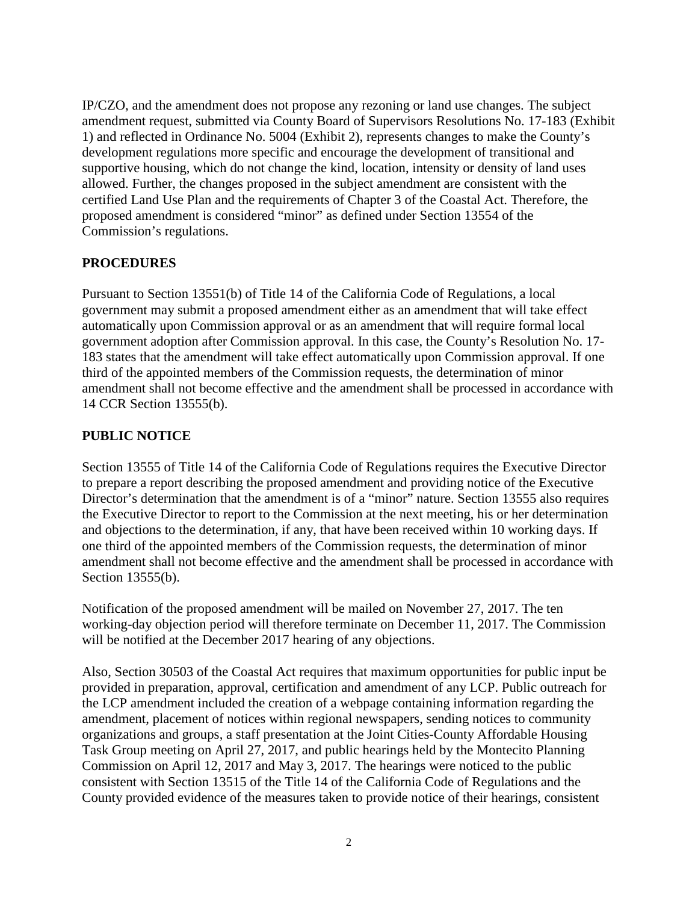IP/CZO, and the amendment does not propose any rezoning or land use changes. The subject amendment request, submitted via County Board of Supervisors Resolutions No. 17-183 (Exhibit 1) and reflected in Ordinance No. 5004 (Exhibit 2), represents changes to make the County's development regulations more specific and encourage the development of transitional and supportive housing, which do not change the kind, location, intensity or density of land uses allowed. Further, the changes proposed in the subject amendment are consistent with the certified Land Use Plan and the requirements of Chapter 3 of the Coastal Act. Therefore, the proposed amendment is considered "minor" as defined under Section 13554 of the Commission's regulations.

# **PROCEDURES**

Pursuant to Section 13551(b) of Title 14 of the California Code of Regulations, a local government may submit a proposed amendment either as an amendment that will take effect automatically upon Commission approval or as an amendment that will require formal local government adoption after Commission approval. In this case, the County's Resolution No. 17- 183 states that the amendment will take effect automatically upon Commission approval. If one third of the appointed members of the Commission requests, the determination of minor amendment shall not become effective and the amendment shall be processed in accordance with 14 CCR Section 13555(b).

# **PUBLIC NOTICE**

Section 13555 of Title 14 of the California Code of Regulations requires the Executive Director to prepare a report describing the proposed amendment and providing notice of the Executive Director's determination that the amendment is of a "minor" nature. Section 13555 also requires the Executive Director to report to the Commission at the next meeting, his or her determination and objections to the determination, if any, that have been received within 10 working days. If one third of the appointed members of the Commission requests, the determination of minor amendment shall not become effective and the amendment shall be processed in accordance with Section 13555(b).

Notification of the proposed amendment will be mailed on November 27, 2017. The ten working-day objection period will therefore terminate on December 11, 2017. The Commission will be notified at the December 2017 hearing of any objections.

Also, Section 30503 of the Coastal Act requires that maximum opportunities for public input be provided in preparation, approval, certification and amendment of any LCP. Public outreach for the LCP amendment included the creation of a webpage containing information regarding the amendment, placement of notices within regional newspapers, sending notices to community organizations and groups, a staff presentation at the Joint Cities-County Affordable Housing Task Group meeting on April 27, 2017, and public hearings held by the Montecito Planning Commission on April 12, 2017 and May 3, 2017. The hearings were noticed to the public consistent with Section 13515 of the Title 14 of the California Code of Regulations and the County provided evidence of the measures taken to provide notice of their hearings, consistent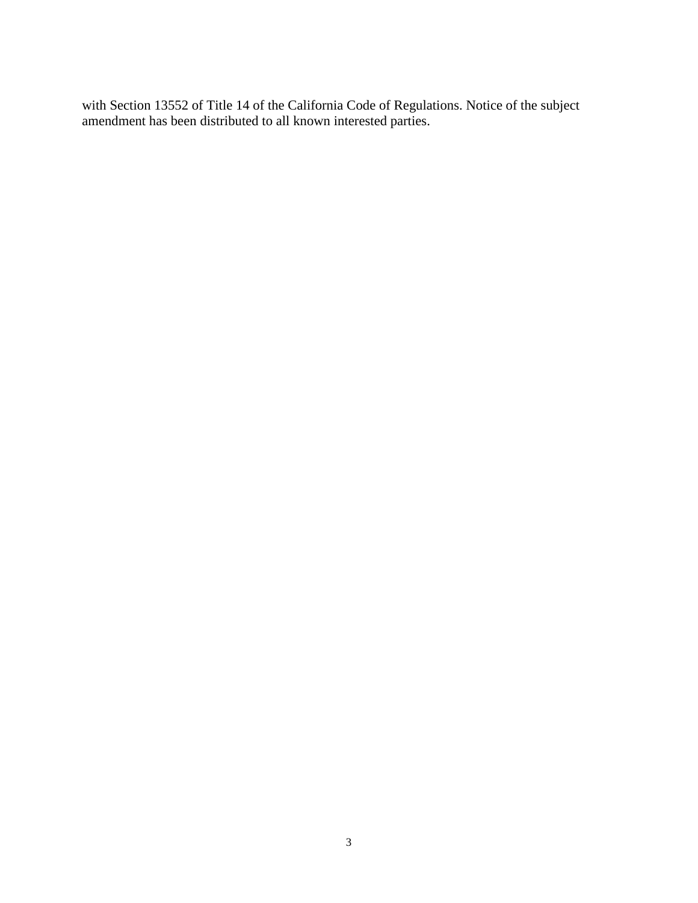with Section 13552 of Title 14 of the California Code of Regulations. Notice of the subject amendment has been distributed to all known interested parties.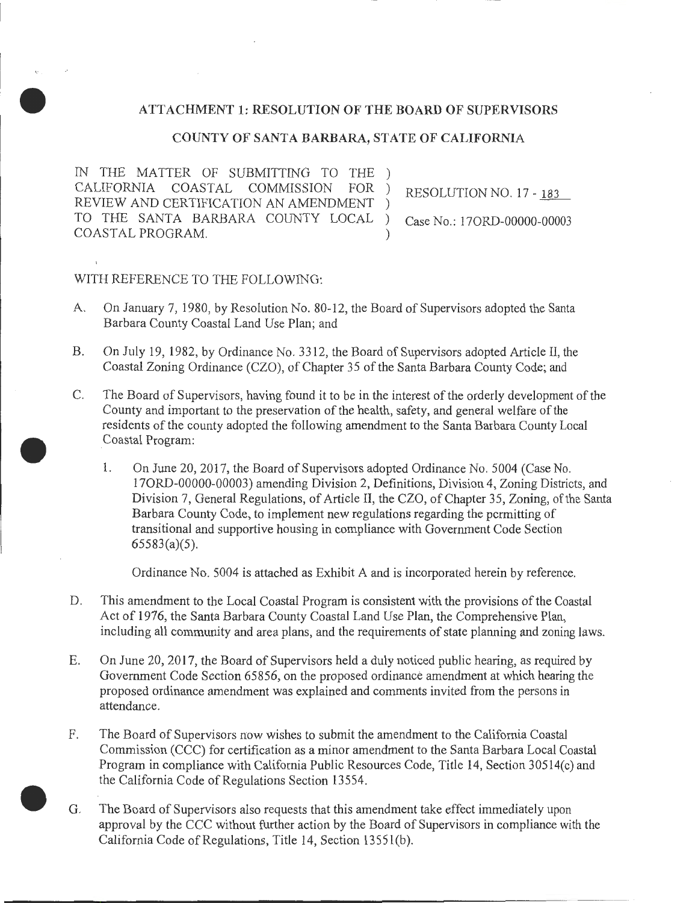# ATTACHMENT 1: RESOLUTION OF THE BOARD OF SUPERVISORS

## COUNTY OF SANTA BARBARA, STATE OF CALIFORNIA

IN THE MATTER OF SUBMITTING TO THE ) CALIFORNIA COASTAL COMMISSION FOR ) RESOLUTION NO. 17 - 183 REVIEW AND CERTIFICATION AN AMENDMENT ) TO THE SANTA BARBARA COUNTY LOCAL ) Case No.: 170RD-00000-00003 COASTAL PROGRAM.

# WITH REFERENCE TO THE FOLLOWING:

•

•

- A. On January 7, 1980, by Resolution No. 80-12, the Board of Supervisors adopted the Santa Barbara County Coastal Land Use Plan; and
- B. On July 19, 1982, by Ordinance No. 3312, the Board of Supervisors adopted Article II, the Coastal Zoning Ordinance (CZO), of Chapter 35 of the Santa Barbara County Code; and
- C. The Board of Supervisors, having found it to be in the interest of the orderly development of the County and important to the preservation of the health, safety, and general welfare of the residents of the county adopted the following amendment to the Santa Barbara County Local Coastal Program:
	- 1. On June 20, 2017, the Board of Supervisors adopted Ordinance No. 5004 (Case No. 170RD-00000-00003) amending Division 2, Definitions, Division 4, Zoning Districts, and Division 7, General Regulations, of Article II, the CZO, of Chapter 35, Zoning, of the Santa Barbara County Code, to implement new regulations regarding the permitting of transitional and supportive housing in compliance with Government Code Section 65583(a)(5).

Ordinance No. 5004 is attached as Exhibit A and is incorporated herein by reference.

- D. This amendment to the Local Coastal Program is consistent with the provisions of the Coastal Act of 1976, the Santa Barbara County Coastal Land Use Plan, the Comprehensive Plan, including all community and area plans, and the requirements of state planning and zoning laws.
- E. On June 20, 2017, the Board of Supervisors held a duly noticed public hearing, as required by Government Code Section 65856, on the proposed ordinance amendment at which hearing the proposed ordinance amendment was explained and comments invited from the persons in attendance.
- F. The Board of Supervisors now wishes to submit the amendment to the California Coastal Commission (CCC) for certification as a minor amendment to the Santa Barbara Local Coastal Program in compliance with California Public Resources Code, Title 14, Section 30514(c) and the California Code of Regulations Section 13554 .
- G. The Board of Supervisors also requests that this amendment take effect immediately upon approval by the CCC without further action by the Board of Supervisors in compliance with the California Code of Regulations, Title 14, Section 1355l(b).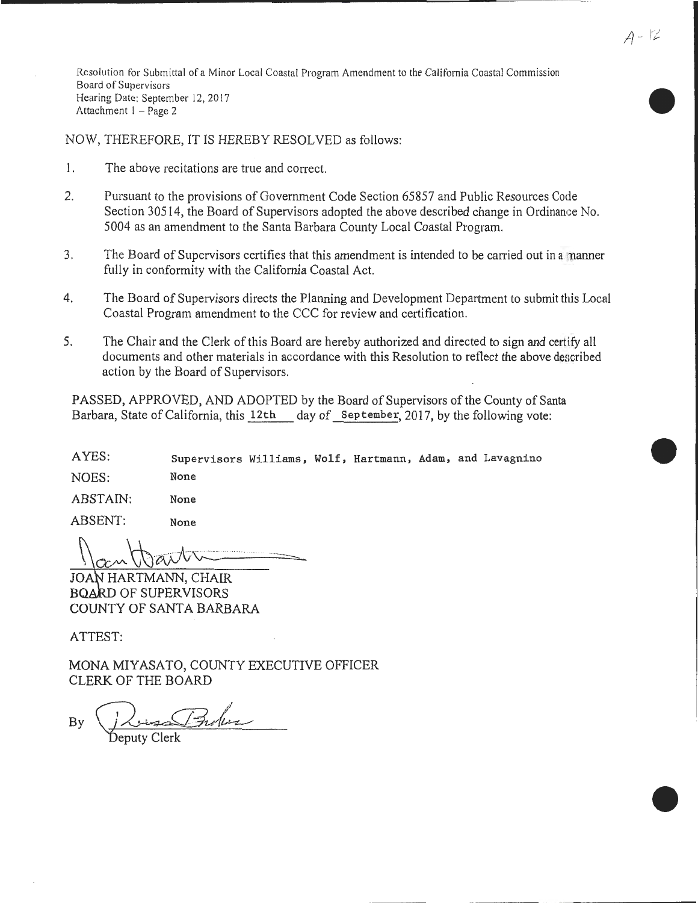Resolution for Submittal of a Minor Local Coastal Program Amendment to the California Coastal Commission Board of Supervisors Hearing Date: September 12, 2017 Attachment 1 - Page 2

NOW, THEREFORE, IT IS HEREBY RESOLVED as follows:

- 1. The above recitations are true and correct.
- 2. Pursuant to the provisions of Government Code Section 65857 and Public Resources Code Section 30514, the Board of Supervisors adopted the above described change in Ordinance No. 5004 as an amendment to the Santa Barbara County Local Coastal Program.
- 3. The Board of Supervisors certifies that this amendment is intended to be carried out in a manner fully in conformity with the California Coastal Act.
- 4. The Board of Supervisors directs the Planning and Development Department to submit this Local Coastal Program amendment to the CCC for review and certification.
- 5. The Chair and the Clerk of this Board are hereby authorized and directed to sign and certify all documents and other materials in accordance with this Resolution to reflect the above described action by the Board of Supervisors.

PASSED, APPROVED, AND ADOPTED by the Board of Supervisors of the County of Santa Barbara, State of California, this 12th day of September, 2017, by the following vote:

AYES: Supervisors Williams, Wolf, Hartmann, Adam, and Lavagnino

NOES: None

ABSTAIN: None

ABSENT: None

 $\sigma$  ...  $\Box$ 

JOAN HARTMANN, CHAIR BOARD OF SUPERVISORS COUNTY OF SANTA BARBARA

ATTEST:

MONA MIYASATO, COUNTY EXECUTIVE OFFICER CLERK OF THE BOARD

sa Bules

•

•

•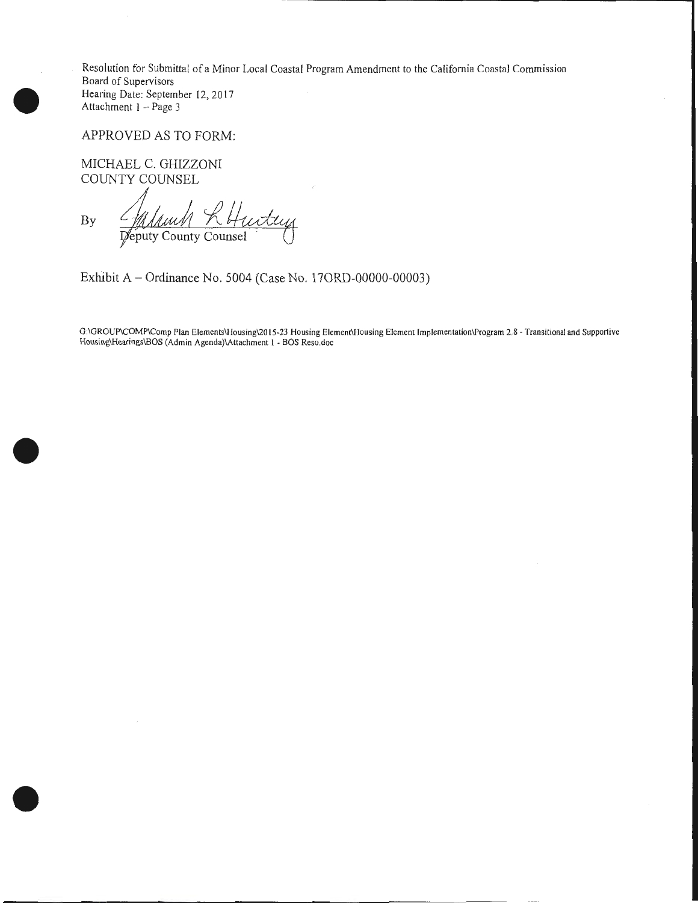Resolution for Submittal of a Minor Local Coastal Program Amendment to the California Coastal Commission Board of Supervisors Hearing Date: September 12, 20 17 Attachment 1 - Page 3

APPROVED AS TO FORM:

MICHAEL C. GHIZZONI COUNTY COUNSEL

•

•

•

Milanch R Hurtey By

Exhibit A- Ordinance No. 5004 (Case No. 170RD-00000-00003)

G:\GROUP\COMP\Comp Plan Elements\Housing\20 15-23 Housing Element\Housing Element Implementation\Program 2.8- Transitional and Supportive Housing\Hearings\BOS (Admin Agenda)\Attachment I - BOS Reso.doc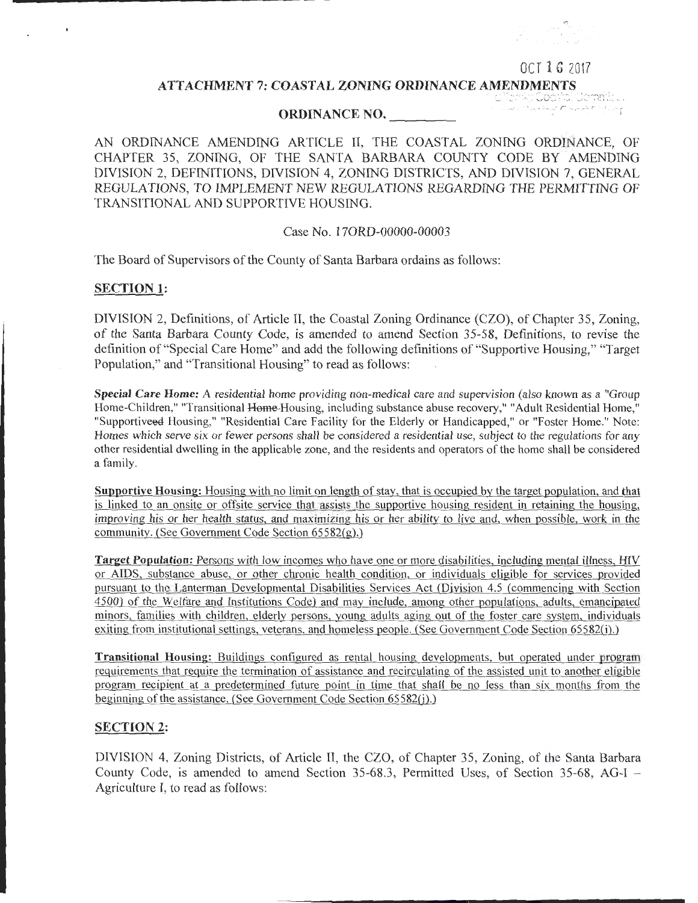#### OCT 1 6 2017

#### ATTACHMENT 7: COASTAL ZONING ORDINANCE AMENDMENTS

### ORDINANCE NO. \_\_\_\_\_\_\_

ri.c:::://c://c://e

AN ORDINANCE AMENDING ARTICLE II, THE COASTAL ZONING ORDINANCE, OF CHAPTER 35, ZONING, OF THE SANTA BARBARA COUNTY CODE BY AMENDING DIVISION 2, DEFINITIONS, DIVISION 4, ZONING DISTRICTS, AND DIVISION 7, GENERAL REGULATIONS, TO IMPLEMENT NEW REGULATIONS REGARDING THE PERMITTING OF TRANSITIONAL AND SUPPORTIVE HOUSING.

### Case No. 170RD-00000-00003

The Board of Supervisors of the County of Santa Barbara ordains as follows:

### SECTION 1:

DIVISION 2, Definitions, of Article II, the Coastal Zoning Ordinance (CZO), of Chapter 35, Zoning, of the Santa Barbara County Code, is amended to amend Section 35-58, Definitions, to revise the definition of "Special Care Home" and add the following definitions of "Supportive Housing," "Target Population," and "Transitional Housing" to read as follows:

Special Care Home: A residential home providing non-medical care and supervision (also known as a "Group Home-Children," "Transitional Home-Housing, including substance abuse recovery," "Adult Residential Home," "Supportiveed Housing," "Residential Care Facility for the Elderly or Handicapped," or "Foster Home." Note: Homes which serve six or fewer persons shall be considered a residential use, subject to the regulations for any other residential dwelling in the applicable zone, and the residents and operators of the home shall be considered a family.

Supportive Housing: Housing with no limit on length of stay, that is occupied by the target population, and that is linked to an onsite or offsite service that assists the supportive housing resident in retaining the housing, improving his or her health status, and maximizing his or her ability to live and, when possible, work in the community. (See Government Code Section 65582(g).)

Target Population: Persons with low incomes who have one or more disabilities, including mental illness, HIV or AIDS, substance abuse, or other chronic health condition, or individuals eligible for services provided pursuant to the Lanterman Developmental Disabilities Services Act (Division 4.5 (commencing with Section 4500) of the Welfare and Institutions Code) and may include, among other populations, adults, emancipated minors, families with children, elderly persons, young adults aging out of the foster care system, individuals exiting from institutional settings, veterans, and homeless people. (See Government Code Section 65582(i).)

Transitional Housing: Buildings configured as rental housing developments, but operated under program requirements that require the termination of assistance and recirculating of the assisted unit to another eligible program recipient at a predetermined future point in time that shall be no less than six months from the beginning of the assistance. (See Government Code Section 65582(j).)

# SECTION 2:

DIVISION 4, Zoning Districts, of Article II, the CZO, of Chapter 35, Zoning, of the Santa Barbara County Code, is amended to amend Section 35-68.3, Permitted Uses, of Section 35-68, AG-I - Agriculture I, to read as follows: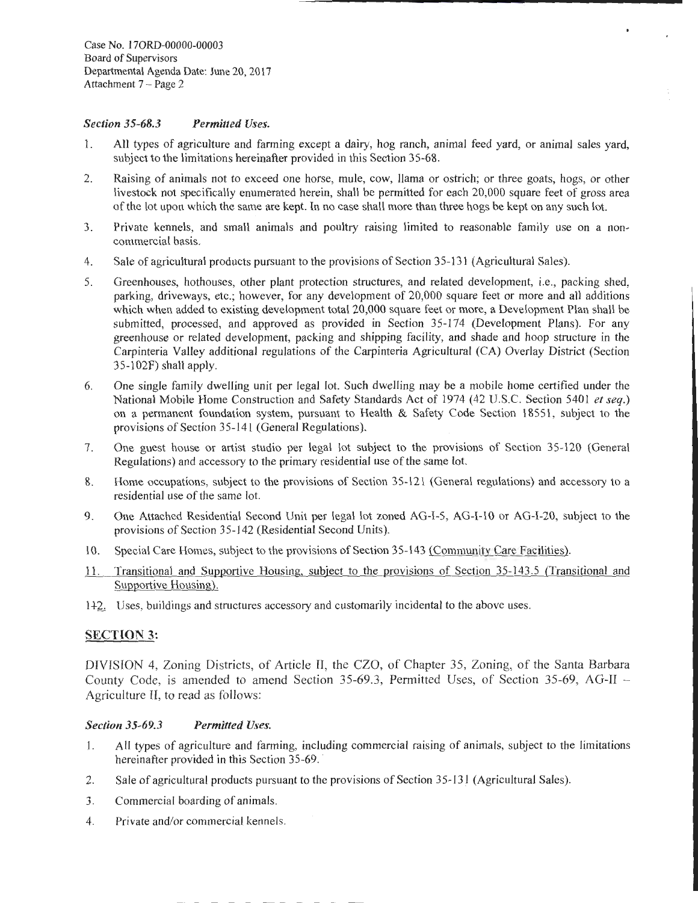### *Section 35-68.3 Permitted Uses.*

l. All types of agriculture and farming except a dairy, hog ranch, animal feed yard, or animal sales yard, subject to the limitations hereinafter provided in this Section 35-68.

\_\_\_\_\_\_\_\_\_\_\_\_\_\_ .........

- 2. Raising of animals not to exceed one horse, mule, cow, llama or ostrich; or three goats, hogs, or other livestock not specifically enumerated herein, shall be permitted for each 20,000 square feet of gross area of the lot upon which the same are kept. In no case shall more than three hogs be kept on any such lot.
- 3. Private kennels, and small animals and poultry raising limited to reasonable family use on a noncommercial basis.
- 4. Sale of agricultural products pursuant to the provisions of Section 35-131 (Agricultural Sales).
- 5. Greenhouses, hothouses, other plant protection structures, and related development, i.e., packing shed, parking, driveways, etc.; however, for any development of 20,000 square feet or more and all additions which when added to existing development total 20,000 square feet or more, a Development Plan shall be submitted, processed, and approved as provided in Section 35-174 (Development Plans). For any greenhouse or related development, packing and shipping facility, and shade and hoop structure in the Carpinteria Valley additional regulations of the Carpinteria Agricultural (CA) Overlay District (Section 35-l02F) shall apply.
- 6. One single family dwelling unit per legal lot. Such dwelling may be a mobile home certified under the National Mobile Home Construction and Safety Standards Act of 1974 (42 U.S.C. Section 5401 *et seq.)*  on a permanent foundation system, pursuant to Health & Safety Code Section 18551, subject to the provisions of Section 35-141 (General Regulations).
- 7. One guest house or artist studio per legal lot subject to the provisions of Section 35-120 (General Regulations) and accessory to the primary residential use of the same lot.
- 8. Home occupations, subject to the provisions of Section 35-121 (General regulations) and accessory to a residential use of the same lot.
- 9. One Attached Residential Second Unit per legal lot zoned AG-1-5, AG-1-10 or AG-1-20, subject to the provisions of Section 35-142 (Residential Second Units).
- 10. Special Care Homes, subject to the provisions of Section 35-143 (Community Care Facilities).
- 11. Transitional and Supportive Housing, subject to the provisions of Section 35-143.5 (Transitional and Supportive Housing).
- 1+2. Uses, buildings and structures accessory and customarily incidental to the above uses.

# SECTION 3:

DIVISION 4, Zoning Districts, of Article II, the CZO, of Chapter 35, Zoning, of the Santa Barbara County Code, is amended to amend Section 35-69.3, Permitted Uses, of Section 35-69, AG-II - Agriculture II, to read as follows:

# *Section 35-69.3 Permitted Uses.*

- l. All types of agriculture and farming, including commercial raising of animals, subject to the limitations hereinafter provided in this Section 35-69.
- 2. Sale of agricultural products pursuant to the provisions of Section 35-131 (Agricultural Sales).
- 3. Commercial boarding of animals.
- 4. Private and/or commercial kennels.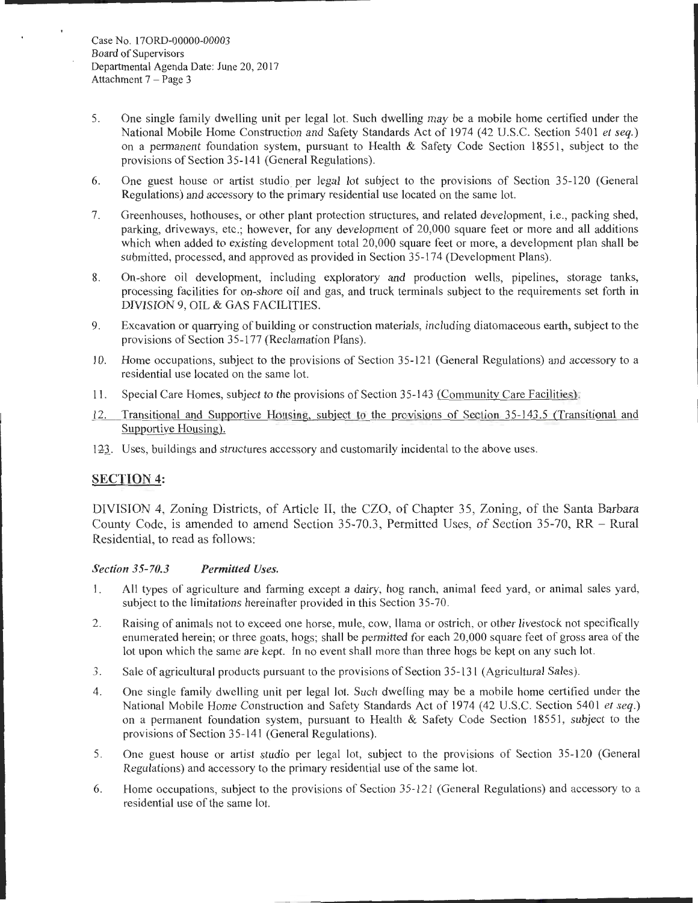- 5. One single family dwelling unit per legal lot. Such dwelling may be a mobile home certified under the National Mobile Home Construction and Safety Standards Act of 1974 (42 U.S.C. Section 5401 *et seq.)*  on a permanent foundation system, pursuant to Health  $\&$  Safety Code Section 18551, subject to the provisions of Section 35-141 (General Regulations).
- 6. One guest house or artist studio per legal lot subject to the provisions of Section 35-120 (General Regulations) and accessory to the primary residential use located on the same lot.
- 7. Greenhouses, hothouses, or other plant protection structures, and related development, i.e., packing shed, parking, driveways, etc.; however, for any development of 20,000 square feet or more and all additions which when added to existing development total 20,000 square feet or more, a development plan shall be submitted, processed, and approved as provided in Section 35-174 (Development Plans).
- 8. On-shore oil development, including exploratory and production wells, pipelines, storage tanks, processing facilities for on-shore oil and gas, and truck terminals subject to the requirements set forth in DIVISION 9, OIL & GAS FACILITIES.
- 9. Excavation or quarrying of building or construction materials, including diatomaceous earth, subject to the provisions of Section 35-177 (Reclamation Plans).
- 10. Home occupations, subject to the provisions of Section 35-121 (General Regulations) and accessory to a residential use located on the same lot.
- II. Special Care Homes, subject to the provisions of Section 35-143 (Community Care Facilities).
- 12. Transitional and Supportive Housing, subject to the provisions of Section 35-143.5 (Transitional and Supportive Housing).
- 123. Uses, buildings and structures accessory and customarily incidental to the above uses.

# **SECTION 4:**

DIVISION 4, Zoning Districts, of Article II, the CZO, of Chapter 35, Zoning, of the Santa Barbara County Code, is amended to amend Section 35-70.3, Permitted Uses, of Section 35-70, RR- Rural Residential, to read as follows:

# *Section 35-70.3 Permitted Uses.*

- 1. All types of agriculture and farming except a dairy, hog ranch, animal feed yard, or animal sales yard, subject to the limitations hereinafter provided in this Section 35-70.
- 2. Raising of animals not to exceed one horse, mule, cow, llama or ostrich, or other livestock not specifically enumerated herein; or three goats, hogs; shall be permitted for each 20,000 square feet of gross area of the lot upon which the same are kept. In no event shall more than three hogs be kept on any such lot.
- 3. Sale of agricultural products pursuant to the provisions of Section 35-131 (Agricultural Sales).
- 4. One single family dwelling unit per legal lot. Such dwelling may be a mobile home certified under the National Mobile Home Construction and Safety Standards Act of 1974 ( 42 U.S.C. Section 5401 *et seq.)*  on a permanent foundation system, pursuant to Health & Safety Code Section 18551, subject to the provisions of Section 35-141 (General Regulations).
- 5. One guest house or artist studio per legal lot, subject to the provisions of Section 35-120 (General Regulations) and accessory to the primary residential use of the same lot.
- 6. Home occupations, subject to the provisions of Section 35-121 (General Regulations) and accessory to a residential use of the same lot.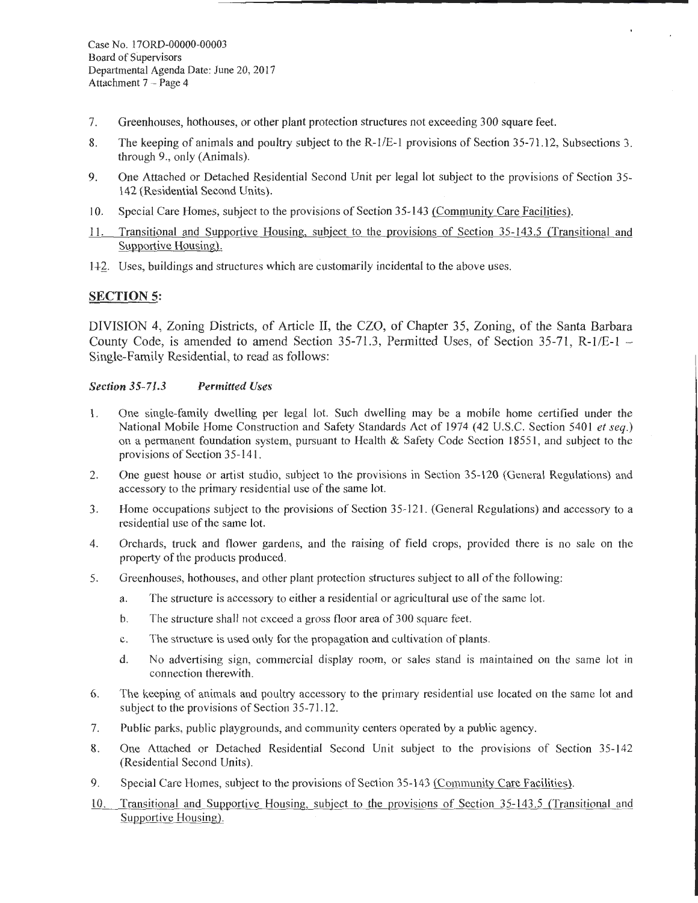- 7. Greenhouses, hothouses, or other plant protection structures not exceeding 300 square feet.
- 8. The keeping of animals and poultry subject to the R-1/E-1 provisions of Section 35-71.12, Subsections 3. through 9., only (Animals).
- 9. One Attached or Detached Residential Second Unit per legal lot subject to the provisions of Section 35- 142 (Residential Second Units).
- 10. Special Care Homes, subject to the provisions of Section 35-143 (Community Care Facilities).
- 11. Transitional and Supportive Housing, subject to the provisions of Section 35-143.5 (Transitional and Supportive Housing).
- 1+2\_. Uses, buildings and structures which are customarily incidental to the above uses.

# **SECTION 5:**

DIVISION 4, Zoning Districts, of Article II, the CZO, of Chapter 35, Zoning, of the Santa Barbara County Code, is amended to amend Section 35-71.3, Permitted Uses, of Section 35-71, R-1/E-1  $-$ Single-Family Residential, to read as follows:

### *Section 35-71.3 Permitted Uses*

- 1. One single-family dwelling per legal lot. Such dwelling may be a mobile home certified under the National Mobile Home Construction and Safety Standards Act of 1974 (42 U.S.C. Section 5401 *et seq.)*  on a permanent foundation system, pursuant to Health & Safety Code Section 18551, and subject to the provisions of Section 35-141.
- 2. One guest house or artist studio, subject to the provisions in Section 35-120 (General Regulations) and accessory to the primary residential use of the same lot.
- 3. Home occupations subject to the provisions of Section 35-121. (General Regulations) and accessory to a residential use of the same lot.
- 4. Orchards, truck and flower gardens, and the raising of field crops, provided there is no sale on the property of the products produced.
- 5. Greenhouses, hothouses, and other plant protection structures subject to all of the following:
	- a. The structure is accessory to either a residential or agricultural use of the same lot.
	- b. The structure shall not exceed a gross floor area of 300 square feet.
	- c. The structure is used only for the propagation and cultivation of plants.
	- d. No advertising sign, commercial display room, or sales stand is maintained on the same lot in connection therewith.
- 6. The keeping of animals and poultry accessory to the primary residential use located on the same lot and subject to the provisions of Section 35-71.12.
- 7. Public parks, public playgrounds, and community centers operated by a public agency.
- 8. One Attached or Detached Residential Second Unit subject to the provisions of Section 35-142 (Residential Second Units).
- 9. Special Care Homes, subject to the provisions of Section 35-143 (Community Care Facilities).
- 10. Transitional and Supportive Housing, subject to the provisions of Section 35-143 .5 (Transitional and Supportive Housing).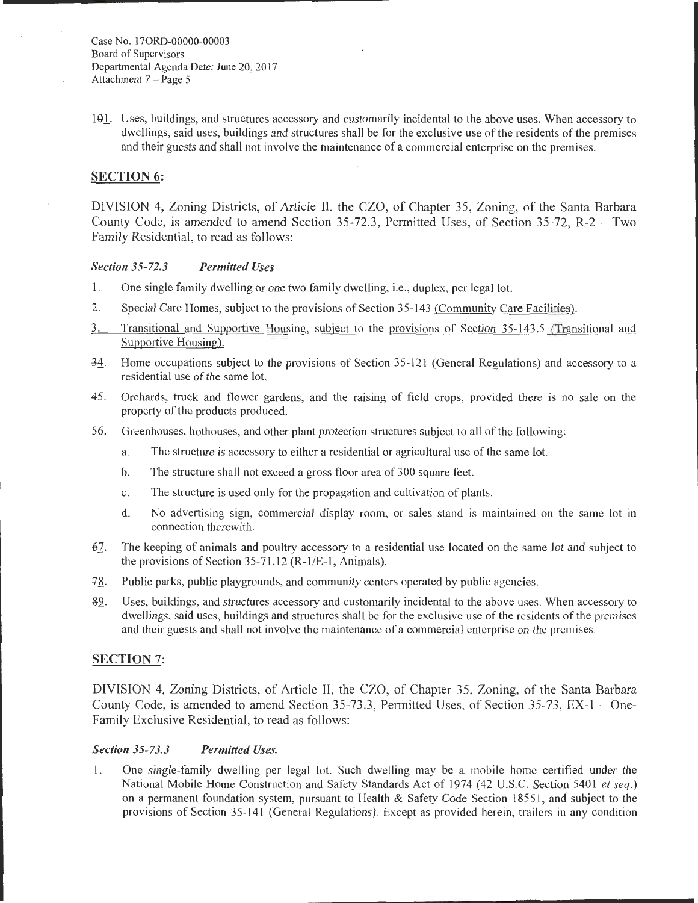Case No. 170RD-00000-00003 Board of Supervisors Departmental Agenda Date: June 20, 2017 Attachment 7 - Page 5

101. Uses, buildings, and structures accessory and customarily incidental to the above uses. When accessory to dwellings, said uses, buildings and structures shall be for the exclusive use of the residents of the premises and their guests and shall not involve the maintenance of a commercial enterprise on the premises.

## SECTION 6:

DIVISION 4, Zoning Districts, of Article II, the CZO, of Chapter 35, Zoning, of the Santa Barbara County Code, is amended to amend Section 35-72.3, Permitted Uses, of Section 35-72, R-2 - Two Family Residential, to read as follows:

### *Section 35-72.3 Permitted Uses*

- 1. One single family dwelling or one two family dwelling, i.e., duplex, per legal lot.
- 2. Special Care Homes, subject to the provisions of Section 35-143 (Community Care Facilities).
- 3. Transitional and Supportive Housing, subject to the provisions of Section 35-143.5 (Transitional and Supportive Housing).
- $\frac{34}{2}$ . Home occupations subject to the provisions of Section 35-121 (General Regulations) and accessory to a residential use of the same lot.
- 42\_. Orchards, truck and flower gardens, and the raising of field crops, provided there is no sale on the property of the products produced.
- *.§.§\_.* Greenhouses, hothouses, and other plant protection structures subject to all of the following:
	- a. The structure is accessory to either a residential or agricultural use of the same lot.
	- b. The structure shall not exceed a gross floor area of 300 square feet.
	- c. The structure is used only for the propagation and cultivation of plants.
	- d. No advertising sign, commercial display room, or sales stand is maintained on the same lot in connection therewith.
- *6].* The keeping of animals and poultry accessory to a residential use located on the same lot and subject to the provisions of Section 35-71.12 (R-1/E-1, Animals).
- 78. Public parks, public playgrounds, and community centers operated by public agencies.
- &2\_. Uses, buildings, and structures accessory and customarily incidental to the above uses. When accessory to dwellings, said uses, buildings and structures shall be for the exclusive use of the residents of the premises and their guests and shall not involve the maintenance of a commercial enterprise on the premises.

### SECTION 7:

DIVISION 4, Zoning Districts, of Article II, the CZO, of Chapter 35, Zoning, of the Santa Barbara County Code, is amended to amend Section 35-73.3, Permitted Uses, of Section 35-73, EX-1 - One-Family Exclusive Residential, to read as follows:

### *Section 35-73.3 Permitted Uses.*

1. One single-family dwelling per legal lot. Such dwelling may be a mobile home certified under the National Mobile Home Construction and Safety Standards Act of 1974 (42 U.S.C. Section 5401 et seq.) on a permanent foundation system, pursuant to Health & Safety Code Section 18551 , and subject to the provisions of Section 35-141 (General Regulations). Except as provided herein, trailers in any condition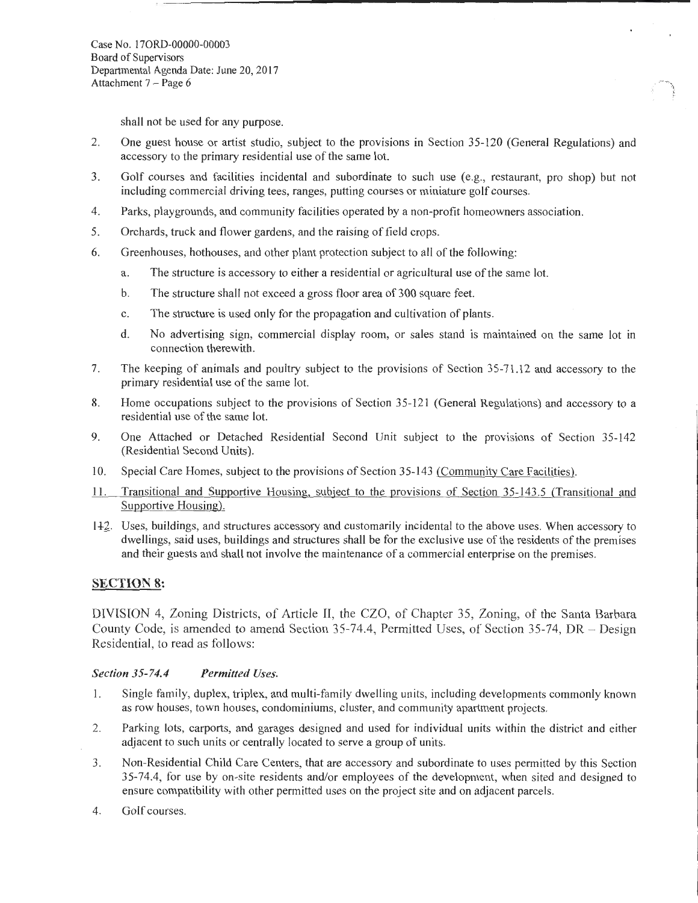Case No. 170RD-00000-00003 Board of Supervisors Departmental Agenda Date: June 20, 20 17 Attachment  $7 - Page 6$ 

shall not be used for any purpose.

2. One guest house or artist studio, subject to the provisions in Section 35-120 (General Regulations) and accessory to the primary residential use of the same lot.

*()* 

- 3. Golf courses and facilities incidental and subordinate to such use (e.g., restaurant, pro shop) but not including commercial driving tees, ranges, putting courses or miniature golf courses.
- 4. Parks, playgrounds, and community facilities operated by a non-profit homeowners association.
- 5. Orchards, truck and flower gardens, and the raising of field crops.
- 6. Greenhouses, hothouses, and other plant protection subject to all of the following:
	- a. The structure is accessory to either a residential or agricultural use of the same lot.
	- b. The structure shall not exceed a gross floor area of 300 square feet.
	- c. The structure is used only for the propagation and cultivation of plants.
	- d. No advertising sign, commercial display room, or sales stand is maintained on the same lot in connection therewith.
- 7. The keeping of animals and poultry subject to the provisions of Section 35-71.12 and accessory to the primary residential use of the same lot.
- 8. Home occupations subject to the provisions of Section 35-121 (General Regulations) and accessory to a residential use of the same lot.
- 9. One Attached or Detached Residential Second Unit subject to the provisions of Section 35-142 (Residential Second Units).
- 10. Special Care Homes, subject to the provisions of Section 35-143 (Community Care Facilities).
- ll. Transitional and Supportive Housing, subject to the provisions of Section 35-143.5 (Transitional and Supportive Housing).
- 1+2\_. Uses, buildings, and structures accessory and customarily incidental to the above uses. When accessory to dwellings, said uses, buildings and structures shall be for the exclusive use of the residents of the premises and their guests and shall not involve the maintenance of a commercial enterprise on the premises.

# **SECTION 8:**

DIVISION 4, Zoning Districts, of Article II, the CZO, of Chapter 35, Zoning, of the Santa Barbara County Code, is amended to amend Section 35-74.4, Permitted Uses, of Section 35-74, DR - Design Residential, to read as follows:

### *Section 35-74.4 Permitted Uses.*

- I. Single family, duplex, triplex, and multi-family dwelling units, including developments commonly known as row houses, town houses, condominiums, cluster, and community apartment projects.
- 2. Parking lots, carports, and garages designed and used for individual units within the district and either adjacent to such units or centrally located to serve a group of units.
- 3. Non-Residential Child Care Centers, that are accessory and subordinate to uses permitted by this Section 35-74.4, for use by on-site residents and/or employees of the development, when sited and designed to ensure compatibility with other permitted uses on the project site and on adjacent parcels.
- 4. Golf courses.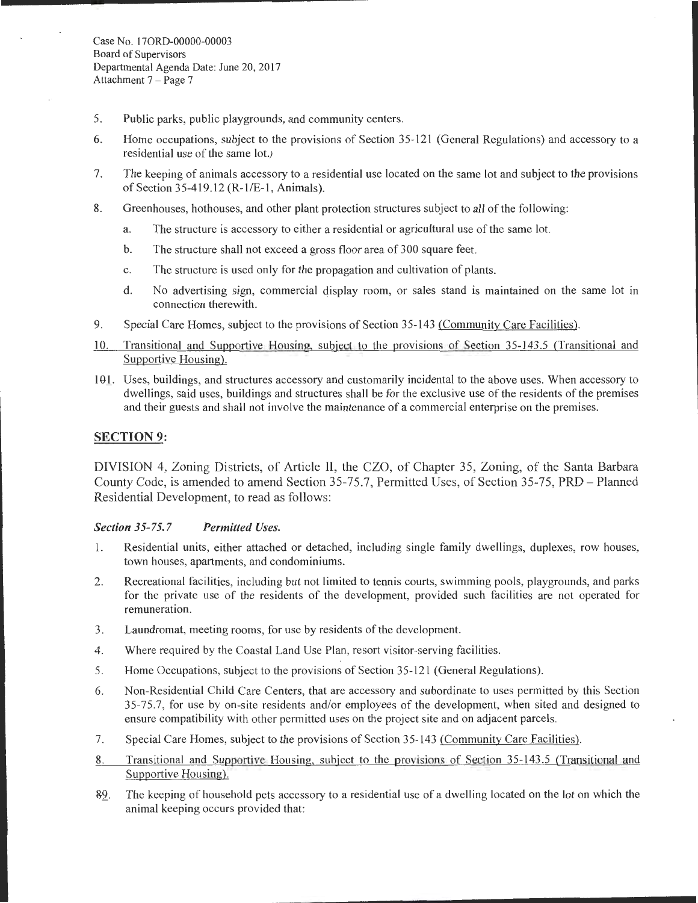- 5. Public parks, public playgrounds, and community centers.
- 6. Home occupations, subject to the provisions of Section 35-121 (General Regulations) and accessory to a residential use of the same lot.)
- 7. The keeping of animals accessory to a residential use located on the same lot and subject to the provisions of Section 35-419.12 (R-1/E-1, Animals).
- 8. Greenhouses, hothouses, and other plant protection structures subject to all of the following:
	- a. The structure is accessory to either a residential or agricultural use of the same lot.
	- b. The structure shall not exceed a gross floor area of 300 square feet.
	- c. The structure is used only for the propagation and cultivation of plants.
	- d. No advertising sign, commercial display room, or sales stand is maintained on the same lot in connection therewith.
- 9. Special Care Homes, subject to the provisions of Section 35-143 (Community Care Facilities).
- 10. Transitional and Supportive Housing, subject to the provisions of Section 35-143.5 (Transitional and Supportive Housing).
- 101. Uses, buildings, and structures accessory and customarily incidental to the above uses. When accessory to dwellings, said uses, buildings and structures shall be for the exclusive use of the residents of the premises and their guests and shall not involve the maintenance of a commercial enterprise on the premises.

# **SECTION 9:**

DIVISION 4, Zoning Districts, of Article II, the CZO, of Chapter 35, Zoning, of the Santa Barbara County Code, is amended to amend Section 35-75.7, Permitted Uses, of Section 35-75, PRD - Planned Residential Development, to read as follows:

# *Section 35-75.7 Permitted Uses.*

- 1. Residential units, either attached or detached, including single family dwellings, duplexes, row houses, town houses, apartments, and condominiums.
- 2. Recreational facilities, including but not limited to tennis courts, swimming pools, playgrounds, and parks for the private use of the residents of the development, provided such facilities are not operated for remuneration.
- 3. Laundromat, meeting rooms, for use by residents of the development.
- 4. Where required by the Coastal Land Use Plan, resort visitor-serving facilities.
- 5. Home Occupations, subject to the provisions of Section 35-121 (General Regulations).
- 6. Non-Residential Child Care Centers, that are accessory and subordinate to uses permitted by this Section 35-75.7, for use by on-site residents and/or employees of the development, when sited and designed to ensure compatibility with other permitted uses on the project site and on adjacent parcels.
- 7. Special Care Homes, subject to the provisions of Section 35-143 (Community Care Facilities).
- 8. Transitional and Supportive Housing, subject to the provisions of Section 35-143.5 (Transitional and Supportive Housing).
- &2.. The keeping of household pets accessory to a residential use of a dwelling located on the lot on which the animal keeping occurs provided that: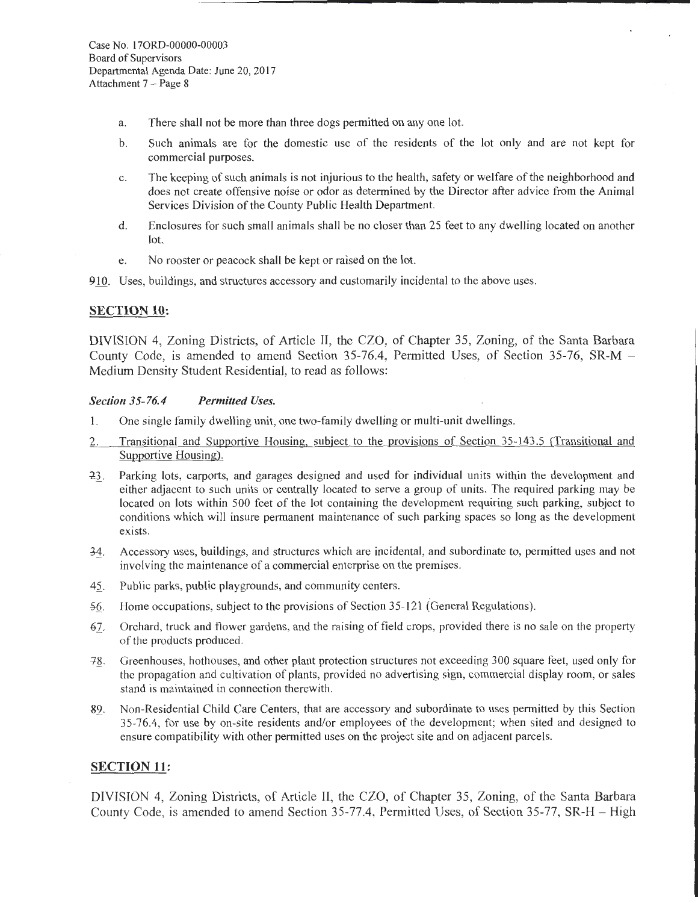- a. There shall not be more than three dogs permitted on any one lot.
- b. Such animals are for the domestic use of the residents of the lot only and are not kept for commercial purposes.
- c. The keeping of such animals is not injurious to the health, safety or welfare of the neighborhood and does not create offensive noise or odor as determined by the Director after advice from the Animal Services Division of the County Public Health Department.
- d. Enclosures for such small animals shall be no closer than 25 feet to any dwelling located on another lot.
- e. No rooster or peacock shall be kept or raised on the lot.

910. Uses, buildings, and structures accessory and customarily incidental to the above uses.

### SECTION 10:

DIVISION 4, Zoning Districts, of Article II, the CZO, of Chapter 35, Zoning, of the Santa Barbara County Code, is amended to amend Section 35-76.4, Permitted Uses, of Section 35-76, SR-M - Medium Density Student Residential, to read as follows:

#### *Section 35-76.4 Permitted Uses.*

- I. One single family dwelling unit, one two-family dwelling or multi-unit dwellings.
- 2. Transitional and Supportive Housing, subject to the provisions of Section 35-143.5 (Transitional and Supportive Housing).
- 23. Parking lots, carports, and garages designed and used for individual units within the development and either adjacent to such units or centrally located to serve a group of units. The required parking may be located on lots within 500 feet of the lot containing the development requiring such parking, subject to conditions which will insure permanent maintenance of such parking spaces so long as the development exists.
- 34. Accessory uses, buildings, and structures which are incidental, and subordinate to, permitted uses and not involving the maintenance of a commercial enterprise on the premises.
- 42. Public parks, public playgrounds, and community centers.
- 56. Home occupations, subject to the provisions of Section 35-121 (General Regulations).
- *61.* Orchard, truck and flower gardens, and the raising of field crops, provided there is no sale on the property of the products produced.
- +~. Greenhouses, hothouses, and other plant protection structures not exceeding 300 square feet, used only for the propagation and cultivation of plants, provided no advertising sign, commercial display room, or sales stand is maintained in connection therewith.
- 82. Non-Residential Child Care Centers, that are accessory and subordinate to uses permitted by this Section 35-76.4, for use by on-site residents and/or employees of the development; when sited and designed to ensure compatibility with other permitted uses on the project site and on adjacent parcels.

### SECTION 11:

DIVISION 4, Zoning Districts, of Article II, the CZO, of Chapter 35, Zoning, of the Santa Barbara County Code, is amended to amend Section 35-77.4, Permitted Uses, of Section 35-77, SR-H - High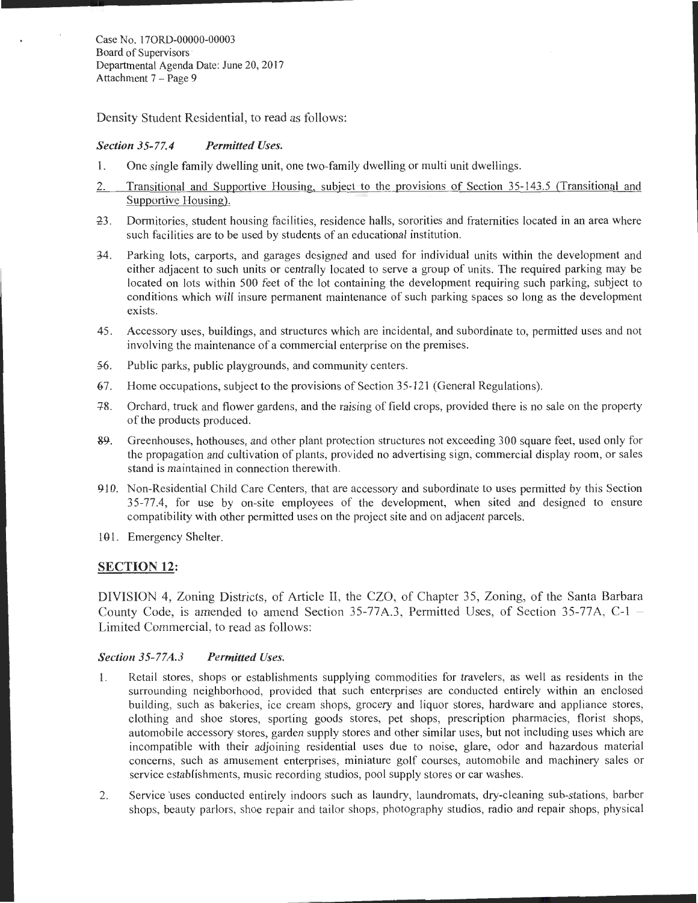Case No. 170RD-00000-00003 Board of Supervisors· Departmental Agenda Date: June 20, 2017 Attachment 7 - Page 9

Density Student Residential, to read as follows:

#### *Section 35-77.4 Permitted Uses.*

- 1. One single family dwelling unit, one two-family dwelling or multi unit dwellings.
- 2. Transitional and Supportive Housing, subject to the provisions of Section 35-143.5 (Transitional and Supportive Housing).
- 23. Dormitories, student housing facilities, residence halls, sororities and fraternities located in an area where such facilities are to be used by students of an educational institution.
- ~4 . Parking lots, carports, and garages designed and used for individual units within the development and either adjacent to such units or centrally located to serve a group of units. The required parking may be located on lots within 500 feet of the lot containing the development requiring such parking, subject to conditions which will insure permanent maintenance of such parking spaces so long as the development exists.
- 45. Accessory uses, buildings, and structures which are incidental, and subordinate to, permitted uses and not involving the maintenance of a commercial enterprise on the premises.
- 56. Public parks, public playgrounds, and community centers.
- 67. Home occupations, subject to the provisions of Section 35-121 (General Regulations).
- 18. Orchard, truck and flower gardens, and the raising of field crops, provided there is no sale on the property of the products produced.
- 89. Greenhouses, hothouses, and other plant protection structures not exceeding 300 square feet, used only for the propagation and cultivation of plants, provided no advertising sign, commercial display room, or sales stand is maintained in connection therewith.
- 910. Non-Residential Child Care Centers, that are accessory and subordinate to uses permitted by this Section 35-77.4, for use by on-site employees of the development, when sited and designed to ensure compatibility with other permitted uses on the project site and on adjacent parcels.
- 101. Emergency Shelter.

### SECTION 12:

DIVISION 4, Zoning Districts, of Article II, the CZO, of Chapter 35, Zoning, of the Santa Barbara County Code, is amended to amend Section 35-77A.3, Permitted Uses, of Section 35-77A,  $C-1$ Limited Commercial, to read as follows:

#### *Section 35-77A.3 Permitted Uses.*

- l. Retail stores, shops or establishments supplying commodities for travelers, as well as residents in the surrounding neighborhood, provided that such enterprises are conducted entirely within an enclosed building, such as bakeries, ice cream shops, grocery and liquor stores, hardware and appliance stores, clothing and shoe stores, sporting goods stores, pet shops, prescription pharmacies, florist shops, automobile accessory stores, garden supply stores and other similar uses, but not including uses which are incompatible with their adjoining residential uses due to noise, glare, odor and hazardous material concerns, such as amusement enterprises, miniature golf courses, automobile and machinery sales or service establishments, music recording studios, pool supply stores or car washes.
- 2. Service uses conducted entirely indoors such as laundry, laundromats, dry-cleaning sub-stations, barber shops, beauty parlors, shoe repair and tailor shops, photography studios, radio and repair shops, physical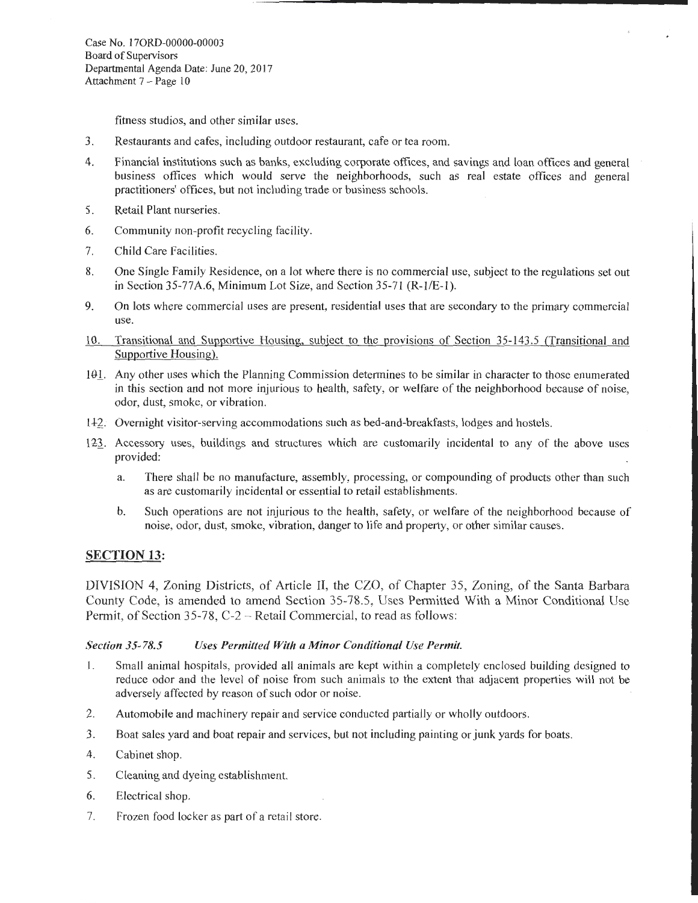fitness studios, and other similar uses.

- 3. Restaurants and cafes, including outdoor restaurant, cafe or tea room.
- 4. Financial institutions such as banks, excluding corporate offices, and savings and loan offices and general business offices which would serve the neighborhoods, such as real estate offices and general practitioners' offices, but not including trade or business schools.
- 5. Retail Plant nurseries.
- 6. Community non-profit recycling facility.
- 7. Child Care Facilities.
- 8. One Single Family Residence, on a lot where there is no commercial use, subject to the regulations set out in Section 35-77A.6, Minimum Lot Size, and Section 35-71 (R-1/E-1).
- 9. On lots where commercial uses are present, residential uses that are secondary to the primary commercial use.
- 10. Transitional and Supportive Housing, subject to the provisions of Section 35-143 .5 (Transitional and Supportive Housing).
- 101. Any other uses which the Planning Commission determines to be similar in character to those enumerated in this section and not more injurious to health, safety, or welfare of the neighborhood because of noise, odor, dust, smoke, or vibration.
- <sup>I</sup>+z. Overnight visitor-serving accommodations such as bed-and-breakfasts, lodges and hostels.
- 123. Accessory uses, buildings and structures which are customarily incidental to any of the above uses provided:
	- a. There shall be no manufacture, assembly, processing, or compounding of products other than such as are customarily incidental or essential to retail establishments.
	- b. Such operations are not injurious to the health, safety, or welfare of the neighborhood because of noise, odor, dust, smoke, vibration, danger to life and property, or other similar causes.

# SECTION 13:

DIVISION 4, Zoning Districts, of Article II, the CZO, of Chapter 35, Zoning, of the Santa Barbara County Code, is amended to amend Section 35-78.5, Uses Permitted With a Minor Conditional Use Permit, of Section 35-78, C-2 – Retail Commercial, to read as follows:

### *Section 35-78.5 Uses Permitted With a Minor Conditional Use Permit.*

- I. Small animal hospitals, provided all animals are kept within a completely enclosed building designed to reduce odor and the level of noise from such animals to the extent that adjacent properties will not be adversely affected by reason of such odor or noise.
- 2. Automobile and machinery repair and service conducted partially or wholly outdoors.
- 3. Boat sales yard and boat repair and services, but not including painting or junk yards for boats.
- 4. Cabinet shop.
- 5. Cleaning and dyeing establishment.
- 6. Electrical shop.
- 7. Frozen food locker as part of a retail store.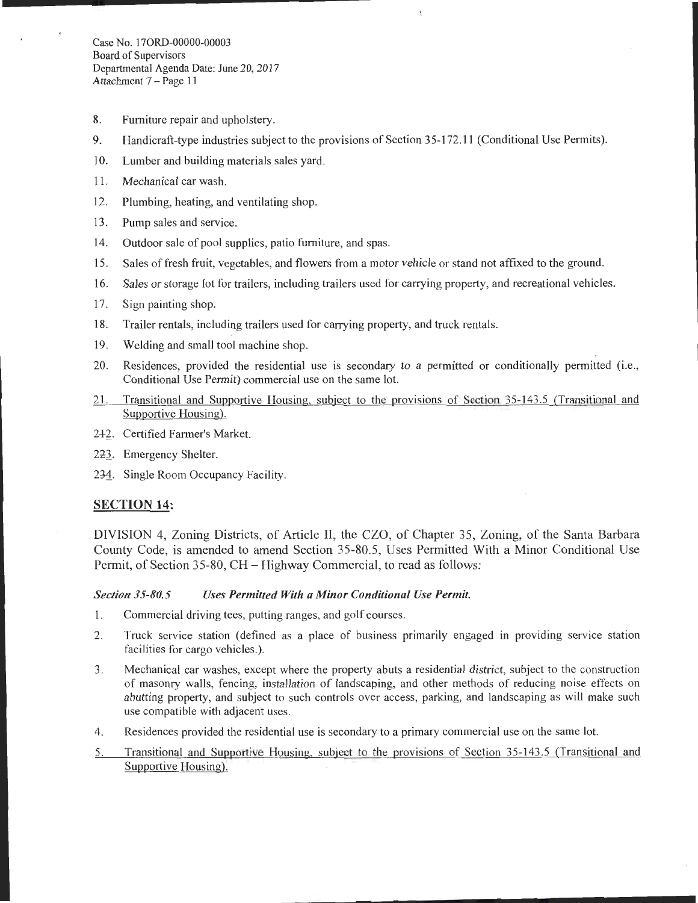- 8. Furniture repair and upholstery.
- 9. Handicraft-type industries subject to the provisions of Section 35-172.11 (Conditional Use Permits).
- 10. Lumber and building materials sales yard.
- 11. Mechanical car wash.
- 12. Plumbing, heating, and ventilating shop.
- 13. Pump sales and service.
- 14. Outdoor sale of pool supplies, patio furniture, and spas.
- 15. Sales of fresh fruit, vegetables, and flowers from a motor vehicle or stand not affixed to the ground.
- 16. Sales or storage lot for trailers, including trailers used for carrying property, and recreational vehicles.
- 17. Sign painting shop.
- 18. Trailer rentals, including trailers used for carrying property, and truck rentals.
- 19. Welding and small tool machine shop.
- 20. Residences, provided the residential use is secondary to a permitted or conditionally permitted (i.e., Conditional Use Permit) commercial use on the same lot.
- 21. Transitional and Supportive Housing, subject to the provisions of Section 35-143.5 (Transitional and Supportive Housing).
- 2+2\_. Certified Farmer's Market.
- 223. Emergency Shelter.
- 234. Single Room Occupancy Facility.

# SECTION 14:

DIVISION 4, Zoning Districts, of Article II, the CZO, of Chapter 35, Zoning, of the Santa Barbara County Code, is amended to amend Section 35-80.5, Uses Permitted With a Minor Conditional Use Permit, of Section 35-80, CH- Highway Commercial, to read as follows:

# *Section 35-80.5 Uses Permitted With a Minor Conditional Use Permit.*

- 1. Commercial driving tees, putting ranges, and golf courses.
- 2. Truck service station (defined as a place of business primarily engaged in providing service station facilities for cargo vehicles.).
- 3. Mechanical car washes, except where the property abuts a residential district, subject to the construction of masonry walls, fencing, installation of landscaping, and other methods of reducing noise effects on abutting property, and subject to such controls over access, parking, and landscaping as will make such use compatible with adjacent uses.
- 4. Residences provided the residential use is secondary to a primary commercial use on the same lot.
- 5. Transitional and Supportive Housing, subject to the provisions of Section 35-143 .5 (Transitional and Supportive Housing).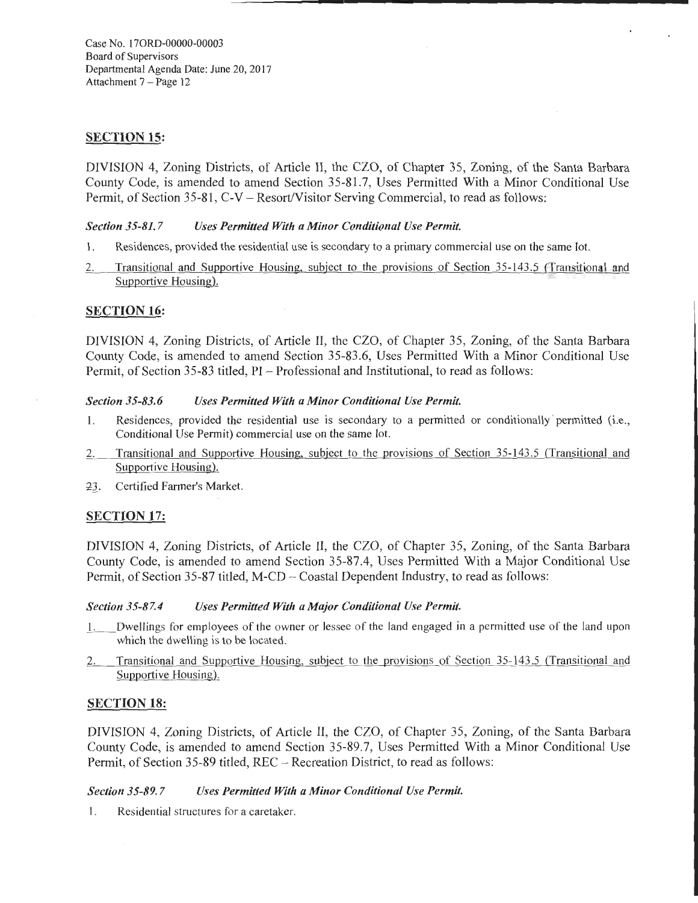Case No. 170RD-00000-00003 Board of Supervisors Departmental Agenda Date: June 20, 2017 Attachment 7 - Page 12

# SECTION 15:

DIVISION 4, Zoning Districts, of Article II, the CZO, of Chapter 35, Zoning, of the Santa Barbara County Code, is amended to amend Section 35-81.7, Uses Permitted With a Minor Conditional Use Permit, of Section 35-81, C-V- Resort/Visitor Serving Commercial, to read as follows:

### *Section 35-81.7 Uses Permitted With a Minor Conditional Use Permit.*

- I. Residences, provided the residential use is secondary to a primary commercial use on the same lot.
- 2. Transitional and Supportive Housing, subject to the provisions of Section 35-143.5 (Transitional and Supportive Housing).

# SECTION 16:

DIVISION 4, Zoning Districts, of Article II, the CZO, of Chapter 35, Zoning, of the Santa Barbara County Code, is amended to amend Section 35-83.6, Uses Permitted With a Minor Conditional Use Permit, of Section 35-83 titled, PI - Professional and Institutional, to read as follows:

### *Section 35-83.6 Uses Permitted With a Minor Conditional Use Permit.*

- 1. Residences, provided the residential use is secondary to a permitted or conditionally permitted (i.e., Conditional Use Permit) commercial use on the same lot.
- 2. Transitional and Supportive Housing, subject to the provisions of Section 35-143.5 (Transitional and Supportive Housing).
- 23. Certified Farmer's Market.

# SECTION 17:

DIVISION 4, Zoning Districts, of Article II, the CZO, of Chapter 35, Zoning, of the Santa Barbara County Code, is amended to amend Section 35-87.4, Uses Permitted With a Major Conditional Use Permit, of Section 35-87 titled, M-CD - Coastal Dependent Industry, to read as follows:

### *Section 35-87.4 Uses Permitted With a Major Conditional Use Permit.*

- \_!. \_\_ Dwellings for employees of the owner or lessee of the land engaged in a permitted use of the land upon which the dwelling is to be located.
- 2. Transitional and Supportive Housing, subject to the provisions of Section 35-143.5 (Transitional and Supportive Housing).

# SECTION 18:

DIVISION 4, Zoning Districts, of Article II, the CZO, of Chapter 35, Zoning, of the Santa Barbara County Code, is amended to amend Section 35-89.7, Uses Permitted With a Minor Conditional Use Permit, of Section 35-89 titled, REC- Recreation District, to read as follows:

## *Section 35-89.* 7 *Uses Permitted With a Minor Conditional Use Permit.*

I. Residential structures for a caretaker.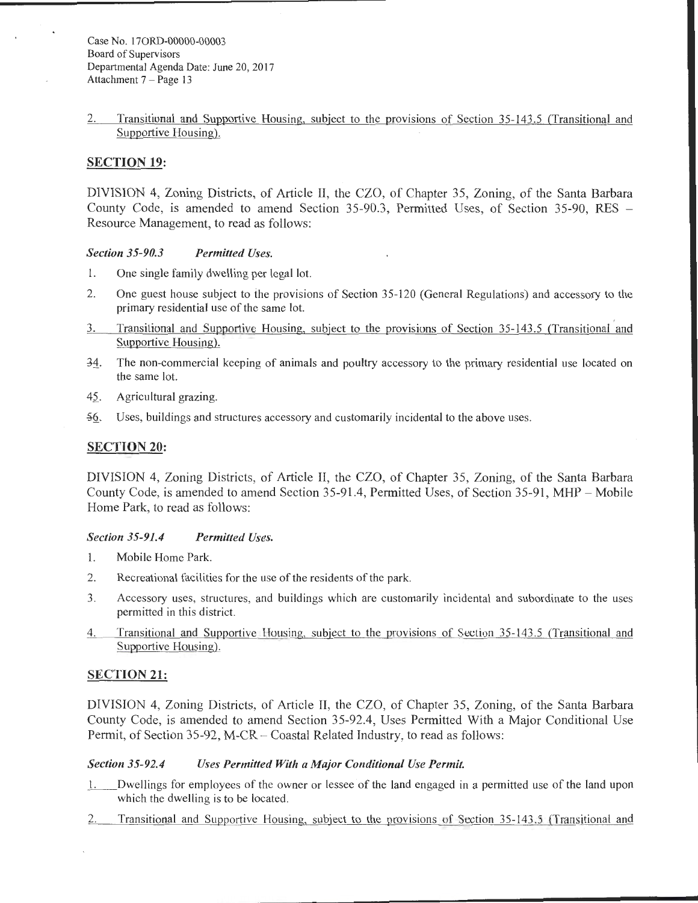### 2. Transitional and Supportive Housing, subject to the provisions of Section 35-143.5 (Transitional and Supportive Housing).

## SECTION 19:

DIVISION 4, Zoning Districts, of Article II, the CZO, of Chapter 35, Zoning, of the Santa Barbara County Code, is amended to amend Section 35-90.3, Permitted Uses, of Section 35-90, RES - Resource Management, to read as follows:

*Section 35-90.3 Permitted Uses.* 

- 1. One single family dwelling per legal lot.
- 2. One guest house subject to the provisions of Section 35-120 (General Regulations) and accessory to the primary residential use of the same lot.
- 3. Transitional and Supportive Housing, subject to the provisions of Section 35-143.5 (Transitional and Supportive Housing).
- $-\frac{34}{1}$ . The non-commercial keeping of animals and poultry accessory to the primary residential use located on the same lot.
- 45. Agricultural grazing.
- ~§.. Uses, buildings and structures accessory and customarily incidental to the above uses.

### SECTION 20:

DIVISION 4, Zoning Districts, of Article II, the CZO, of Chapter 35, Zoning, of the Santa Barbara County Code, is amended to amend Section 35-91.4, Permitted Uses, of Section 35-91, MHP- Mobile Home Park, to read as follows:

### *Section 35-91.4 Permitted Uses.*

- I. Mobile Home Park.
- 2. Recreational facilities for the use of the residents of the park.
- 3. Accessory uses, structures, and buildings which are customarily incidental and subordinate to the uses permitted in this district.
- 4. Transitional and Supportive Housing, subject to the provisions of Section 35-143 .5 (Transitional and Supportive Housing).

### SECTION 21:

DIVISION 4, Zoning Districts, of Article II, the CZO, of Chapter 35, Zoning, of the Santa Barbara County Code, is amended to amend Section 35-92.4, Uses Permitted With a Major Conditional Use Permit, of Section 35-92, M-CR – Coastal Related Industry, to read as follows:

### *Section 35-92.4 Uses Permitted With a Major Conditional Use Permit.*

- \_!. \_ \_ Dwellings for employees of the owner or lessee of the land engaged in a permitted use of the land upon which the dwelling is to be located.
- 2. Transitional and Supportive Housing, subject to the provisions of Section 35-143.5 (Transitional and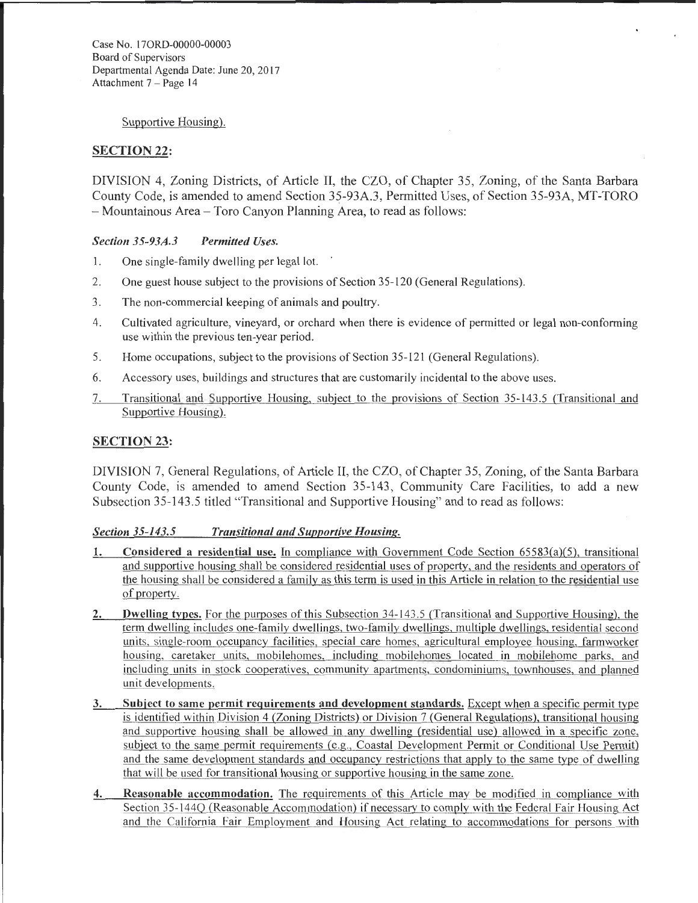Case No. 170RD-00000-00003 Board of Supervisors Departmental Agenda Date: June 20, 2017 Attachment 7 - Page 14

Supportive Housing).

# **SECTION 22:**

DIVISION 4, Zoning Districts, of Article II, the CZO, of Chapter 35, Zoning, of the Santa Barbara County Code, is amended to amend Section 35-93A.3, Permitted Uses, of Section 35-93A, MT-TORO -Mountainous Area- Toro Canyon Planning Area, to read as follows:

### *Section 35-93A.3 Permitted Uses.*

- 1. One single-family dwelling per legal lot.
- 2. One guest house subject to the provisions of Section 35-120 (General Regulations).
- 3. The non-commercial keeping of animals and poultry.
- 4. Cultivated agriculture, vineyard, or orchard when there is evidence of permitted or legal non-conforming use within the previous ten-year period.
- 5. Home occupations, subject to the provisions of Section 35-121 (General Regulations).
- 6. Accessory uses, buildings and structures that are customarily incidental to the above uses.
- 7. Transitional and Supportive Housing, subject to the provisions of Section 35-143.5 (Transitional and Supportive Housing).

# SECTION 23:

DIVISION 7, General Regulations, of Article II, the CZO, of Chapter 35, Zoning, of the Santa Barbara County Code, is amended to amend Section 35-143, Community Care Facilities, to add a new Subsection 35-143.5 titled "Transitional and Supportive Housing" and to read as follows:

# *Section 35-143.5 Transitional and Supportive Housing.*

- 1. Considered a residential use. In compliance with Government Code Section 65583(a)(5), transitional and supportive housing shall be considered residential uses of property, and the residents and operators of the housing shall be considered a family as this term is used in this Article in relation to the residential use of property.
- 2. Dwelling types. For the purposes of this Subsection 34-143.5 (Transitional and Supportive Housing), the term dwelling includes one-family dwellings, two-family dwellings, multiple dwellings, residential second units, single-room occupancy facilities, special care homes, agricultural employee housing, farmworker housing, caretaker units, mobilehomes, including mobilehomes located in mobilehome parks, and including units in stock cooperatives, community apartments, condominiums, townhouses, and planned unit developments.
- 3. Subject to same permit requirements and development standards. Except when a specific permit type is identified within Division 4 (Zoning Districts) or Division 7 (General Regulations), transitional housing and supportive housing shall be allowed in any dwelling (residential use) allowed in a specific zone, subject to the same permit requirements (e.g., Coastal Development Permit or Conditional Use Permit) and the same development standards and occupancy restrictions that apply to the same type of dwelling that will be used for transitional housing or supportive housing in the same zone.
- 4. Reasonable accommodation. The requirements of this Article may be modified in compliance with Section 35-144Q (Reasonable Accommodation) if necessary to comply with the Federal Fair Housing Act and the California Fair Employment and Housing Act relating to accommodations for persons with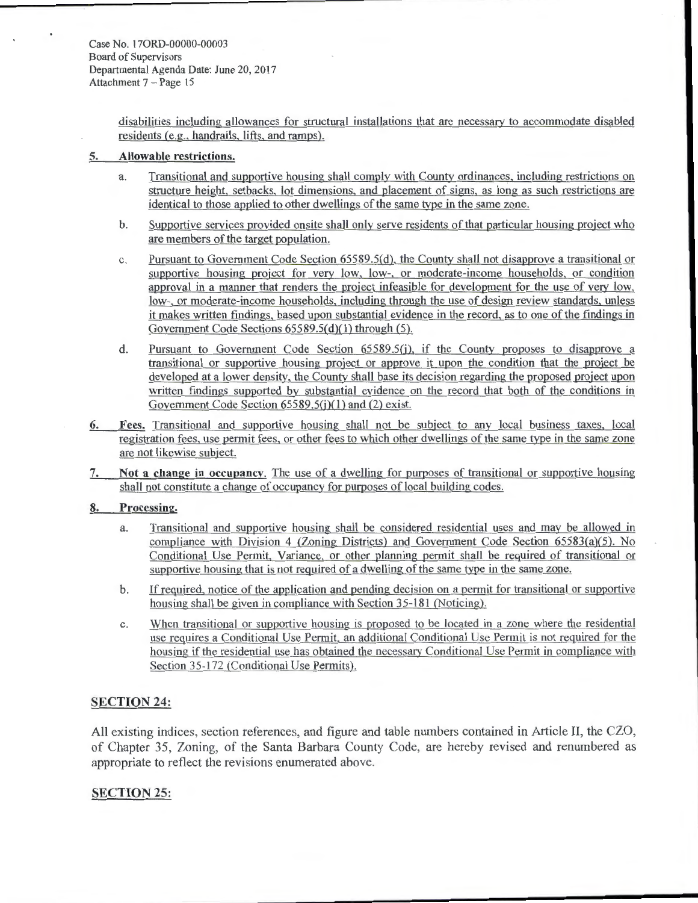Case No. 170RD-00000-00003 Board of Supervisors Departmental Agenda Date: June 20,2017 Attachment 7 - Page 15

> disabilities including allowances for structural installations that are necessary to accommodate disabled residents (e.g., handrails, lifts, and ramps).

### **5. Allowable restrictions.**

- a. Transitional and supportive housing shall comply with County ordinances, including restrictions on structure height, setbacks, lot dimensions, and placement of signs, as long as such restrictions are identical to those applied to other dwellings of the same type in the same zone.
- b. Supportive services provided onsite shall only serve residents of that particular housing project who are members of the target population.
- c. Pursuant to Government Code Section 65589.5(d), the County shall not disapprove a transitional or supportive housing project for very low, low-, or moderate-income households, or condition approval in a manner that renders the project infeasible for development for the use of very low, low-, or moderate-income households, including through the use of design review standards, unless it makes written findings, based upon substantial evidence in the record, as to one of the findings in Government Code Sections  $65589.5(d)(1)$  through  $(5)$ .
- d. Pursuant to Government Code Section 65589.5(j), if the County proposes to disapprove a transitional or supportive housing project or approve it upon the condition that the project be developed at a lower density, the County shall base its decision regarding the proposed project upon written findings supported by substantial evidence on the record that both of the conditions in Government Code Section 65589.5(j)(1) and (2) exist.
- 6. Fees. Transitional and supportive housing shall not be subject to any local business taxes, local registration fees, use permit fees, or other fees to which other dwellings of the same type in the same zone are not likewise subject.
- 7. **Not a change in occupancy.** The use of a dwelling for purposes of transitional or supportive housing shall not constitute a change of occupancy for purposes of local building codes.

#### **8. Processing.**

- a. Transitional and supportive housing shall be considered residential uses and may be allowed in compliance with Division 4 (Zoning Districts) and Government Code Section 65583(a)(5). No Conditional Use Permit, Variance, or other planning permit shall be required of transitional or supportive housing that is not required of a dwelling of the same type in the same zone.
- b. If required, notice of the application and pending decision on a permit for transitional or supportive housing shall be given in compliance with Section 35-181 (Noticing).
- c. When transitional or supportive housing is proposed to be located in a zone where the residential use requires a Conditional Use Permit, an additional Conditional Use Permit is not required for the housing if the residential use has obtained the necessary Conditional Use Permit in compliance with Section 35-172 (Conditional Use Permits).

### **SECTION 24:**

All existing indices, section references, and figure and table numbers contained in Article II, the CZO, of Chapter 35, Zoning, of the Santa Barbara County Code, are hereby revised and renumbered as appropriate to reflect the revisions enumerated above.

### **SECTION 25:**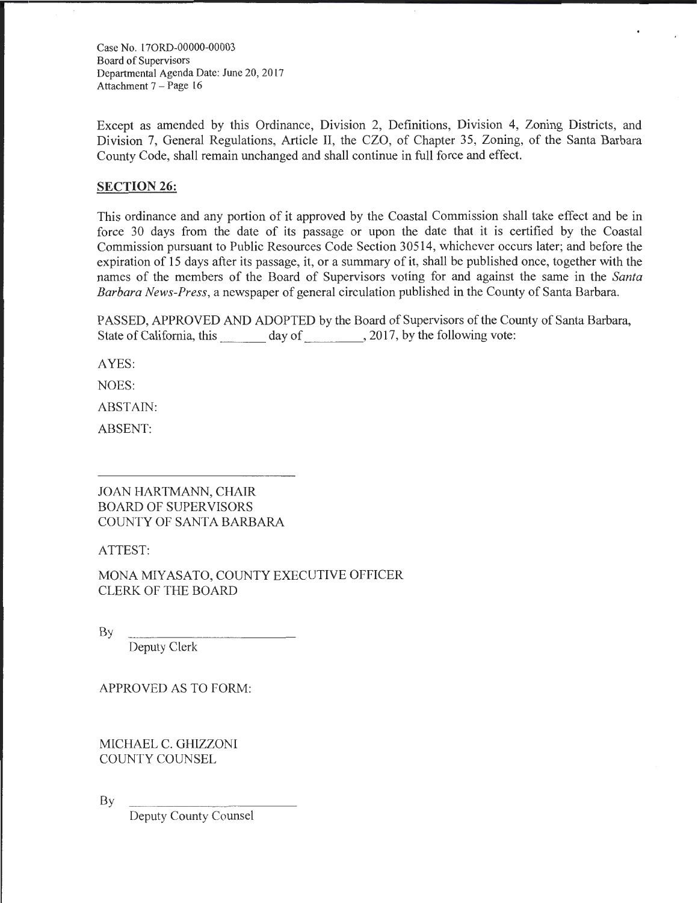Case No. 170RD-00000-00003 Board of Supervisors Departmental Agenda Date: June 20, 2017 Attachment 7 - Page 16

Except as amended by this Ordinance, Division 2, Definitions, Division 4, Zoning Districts, and Division 7, General Regulations, Article II, the CZO, of Chapter 35, Zoning, of the Santa Barbara County Code, shall remain unchanged and shall continue in full force and effect.

# **SECTION 26:**

This ordinance and any portion of it approved by the Coastal Commission shall take effect and be in force 30 days from the date of its passage or upon the date that it is certified by the Coastal Commission pursuant to Public Resources Code Section 30514, whichever occurs later; and before the expiration of 15 days after its passage, it, or a summary of it, shall be published once, together with the names of the members of the Board of Supervisors voting for and against the same in the *Santa Barbara News-Press,* a newspaper of general circulation published in the County of Santa Barbara.

PASSED, APPROVED AND ADOPTED by the Board of Supervisors of the County of Santa Barbara, State of California, this day of 5, 2017, by the following vote:

AYES:

NOES:

ABSTAIN:

ABSENT:

JOAN HARTMANN, CHAIR BOARD OF SUPERVISORS COUNTY OF SANTA BARBARA

ATTEST:

MONA MIYASATO, COUNTY EXECUTIVE OFFICER CLERK OF THE BOARD

By

Deputy Clerk

APPROVED AS TO FORM:

MICHAEL C. GHIZZONI COUNTY COUNSEL

By

Deputy County Counsel